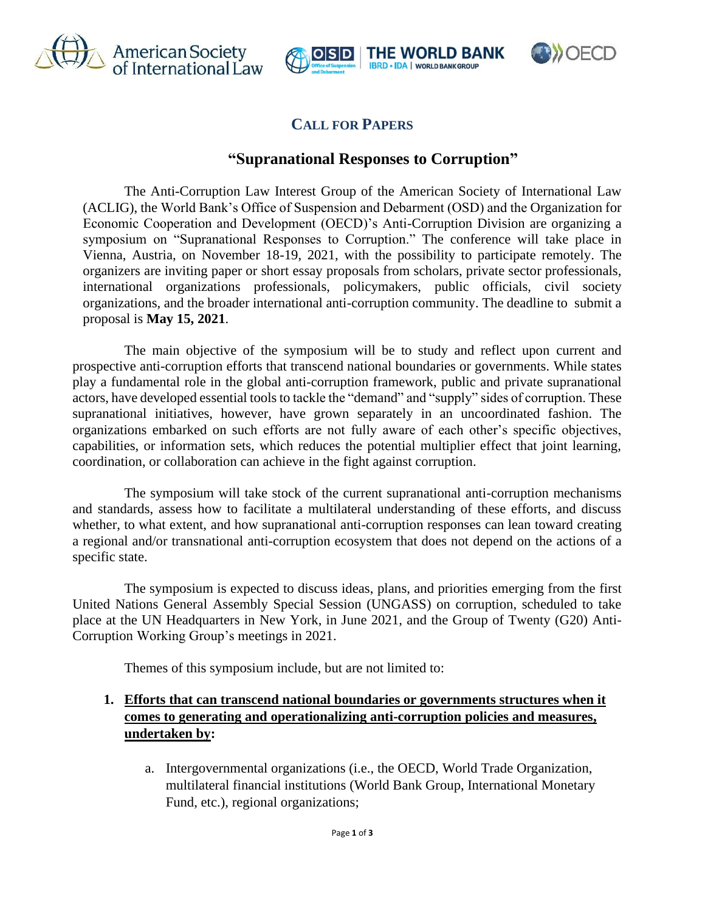





# **CALL FOR PAPERS**

## **"Supranational Responses to Corruption"**

The Anti-Corruption Law Interest Group of the American Society of International Law (ACLIG), the World Bank's Office of Suspension and Debarment (OSD) and the Organization for Economic Cooperation and Development (OECD)'s Anti-Corruption Division are organizing a symposium on "Supranational Responses to Corruption." The conference will take place in Vienna, Austria, on November 18-19, 2021, with the possibility to participate remotely. The organizers are inviting paper or short essay proposals from scholars, private sector professionals, international organizations professionals, policymakers, public officials, civil society organizations, and the broader international anti-corruption community. The deadline to submit a proposal is **May 15, 2021**.

The main objective of the symposium will be to study and reflect upon current and prospective anti-corruption efforts that transcend national boundaries or governments. While states play a fundamental role in the global anti-corruption framework, public and private supranational actors, have developed essential tools to tackle the "demand" and "supply" sides of corruption. These supranational initiatives, however, have grown separately in an uncoordinated fashion. The organizations embarked on such efforts are not fully aware of each other's specific objectives, capabilities, or information sets, which reduces the potential multiplier effect that joint learning, coordination, or collaboration can achieve in the fight against corruption.

The symposium will take stock of the current supranational anti-corruption mechanisms and standards, assess how to facilitate a multilateral understanding of these efforts, and discuss whether, to what extent, and how supranational anti-corruption responses can lean toward creating a regional and/or transnational anti-corruption ecosystem that does not depend on the actions of a specific state.

The symposium is expected to discuss ideas, plans, and priorities emerging from the first United Nations General Assembly Special Session (UNGASS) on corruption, scheduled to take place at the UN Headquarters in New York, in June 2021, and the Group of Twenty (G20) Anti-Corruption Working Group's meetings in 2021.

Themes of this symposium include, but are not limited to:

## **1. Efforts that can transcend national boundaries or governments structures when it comes to generating and operationalizing anti-corruption policies and measures, undertaken by:**

a. Intergovernmental organizations (i.e., the OECD, World Trade Organization, multilateral financial institutions (World Bank Group, International Monetary Fund, etc.), regional organizations;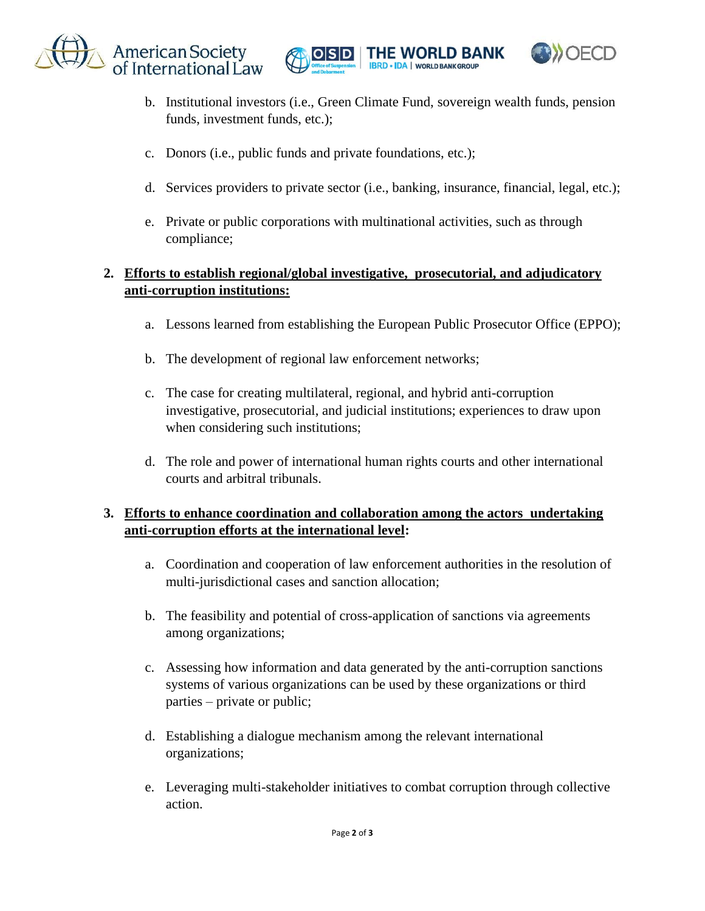





- b. Institutional investors (i.e., Green Climate Fund, sovereign wealth funds, pension funds, investment funds, etc.);
- c. Donors (i.e., public funds and private foundations, etc.);
- d. Services providers to private sector (i.e., banking, insurance, financial, legal, etc.);
- e. Private or public corporations with multinational activities, such as through compliance;

## **2. Efforts to establish regional/global investigative, prosecutorial, and adjudicatory anti-corruption institutions:**

- a. Lessons learned from establishing the European Public Prosecutor Office (EPPO);
- b. The development of regional law enforcement networks;
- c. The case for creating multilateral, regional, and hybrid anti-corruption investigative, prosecutorial, and judicial institutions; experiences to draw upon when considering such institutions;
- d. The role and power of international human rights courts and other international courts and arbitral tribunals.

### **3. Efforts to enhance coordination and collaboration among the actors undertaking anti-corruption efforts at the international level:**

- a. Coordination and cooperation of law enforcement authorities in the resolution of multi-jurisdictional cases and sanction allocation;
- b. The feasibility and potential of cross-application of sanctions via agreements among organizations;
- c. Assessing how information and data generated by the anti-corruption sanctions systems of various organizations can be used by these organizations or third parties – private or public;
- d. Establishing a dialogue mechanism among the relevant international organizations;
- e. Leveraging multi-stakeholder initiatives to combat corruption through collective action.